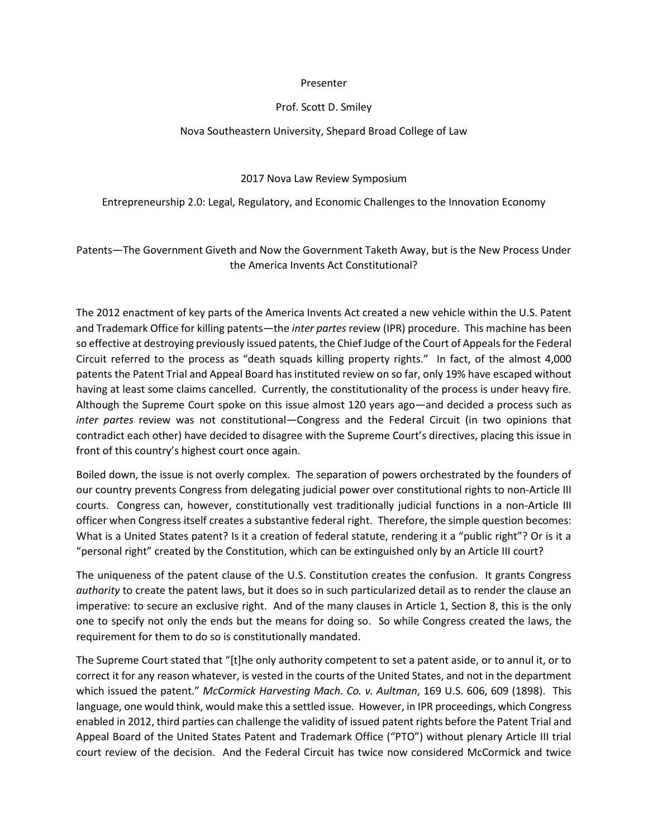## Presenter

## Prof. Scott D. Smiley

## Nova Southeastern University, Shepard Broad College of Law

2017 Nova Law Review Symposium

Entrepreneurship 2.0: Legal, Regulatory, and Economic Challenges to the Innovation Economy

Patents—The Government Giveth and Now the Government Taketh Away, but is the New Process Under the America Invents Act Constitutional?

The 2012 enactment of key parts of the America Invents Act created a new vehicle within the U.S. Patent and Trademark Office for killing patents—the *inter partes* review (IPR) procedure. This machine has been so effective at destroying previously issued patents, the Chief Judge of the Court of Appeals for the Federal Circuit referred to the process as "death squads killing property rights." In fact, of the almost 4,000 patents the Patent Trial and Appeal Board has instituted review on so far, only 19% have escaped without having at least some claims cancelled. Currently, the constitutionality of the process is under heavy fire. Although the Supreme Court spoke on this issue almost 120 years ago—and decided a process such as *inter partes* review was not constitutional—Congress and the Federal Circuit (in two opinions that contradict each other) have decided to disagree with the Supreme Court's directives, placing this issue in front of this country's highest court once again.

Boiled down, the issue is not overly complex. The separation of powers orchestrated by the founders of our country prevents Congress from delegating judicial power over constitutional rights to non-Article III courts. Congress can, however, constitutionally vest traditionally judicial functions in a non-Article III officer when Congress itself creates a substantive federal right. Therefore, the simple question becomes: What is a United States patent? Is it a creation of federal statute, rendering it a "public right"? Or is it a "personal right" created by the Constitution, which can be extinguished only by an Article III court?

The uniqueness of the patent clause of the U.S. Constitution creates the confusion. It grants Congress *authority* to create the patent laws, but it does so in such particularized detail as to render the clause an imperative: to secure an exclusive right. And of the many clauses in Article 1, Section 8, this is the only one to specify not only the ends but the means for doing so. So while Congress created the laws, the requirement for them to do so is constitutionally mandated.

The Supreme Court stated that "[t]he only authority competent to set a patent aside, or to annul it, or to correct it for any reason whatever, is vested in the courts of the United States, and not in the department which issued the patent." *McCormick Harvesting Mach. Co. v. Aultman*, 169 U.S. 606, 609 (1898). This language, one would think, would make this a settled issue. However, in IPR proceedings, which Congress enabled in 2012, third parties can challenge the validity of issued patent rights before the Patent Trial and Appeal Board of the United States Patent and Trademark Office ("PTO") without plenary Article III trial court review of the decision. And the Federal Circuit has twice now considered McCormick and twice